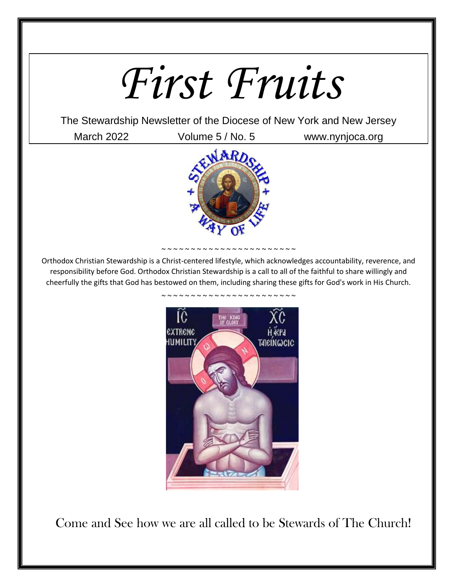## *First Fruits*

The Stewardship Newsletter of the Diocese of New York and New Jersey

March 2022 Volume 5 / No. 5 www.nynjoca.org



<sup>~ ~ ~ ~ ~ ~ ~ ~ ~ ~ ~ ~ ~ ~ ~ ~ ~</sup> ~ ~ ~ ~ ~ ~

Orthodox Christian Stewardship is a Christ-centered lifestyle, which acknowledges accountability, reverence, and responsibility before God. Orthodox Christian Stewardship is a call to all of the faithful to share willingly and cheerfully the gifts that God has bestowed on them, including sharing these gifts for God's work in His Church.



Come and See how we are all called to be Stewards of The Church!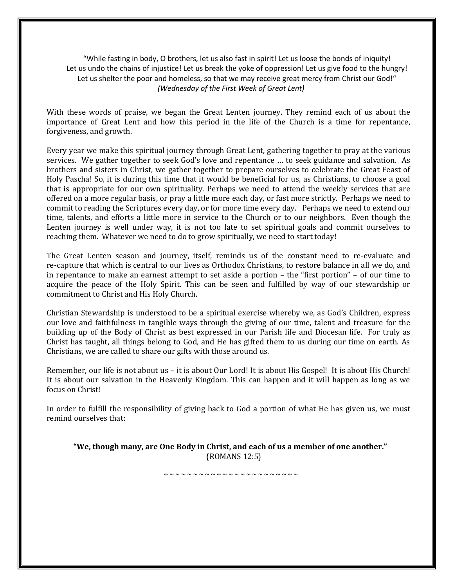"While fasting in body, O brothers, let us also fast in spirit! Let us loose the bonds of iniquity! Let us undo the chains of injustice! Let us break the yoke of oppression! Let us give food to the hungry! Let us shelter the poor and homeless, so that we may receive great mercy from Christ our God!" *(Wednesday of the First Week of Great Lent)*

With these words of praise, we began the Great Lenten journey. They remind each of us about the importance of Great Lent and how this period in the life of the Church is a time for repentance, forgiveness, and growth.

Every year we make this spiritual journey through Great Lent, gathering together to pray at the various services. We gather together to seek God's love and repentance … to seek guidance and salvation. As brothers and sisters in Christ, we gather together to prepare ourselves to celebrate the Great Feast of Holy Pascha! So, it is during this time that it would be beneficial for us, as Christians, to choose a goal that is appropriate for our own spirituality. Perhaps we need to attend the weekly services that are offered on a more regular basis, or pray a little more each day, or fast more strictly. Perhaps we need to commit to reading the Scriptures every day, or for more time every day. Perhaps we need to extend our time, talents, and efforts a little more in service to the Church or to our neighbors. Even though the Lenten journey is well under way, it is not too late to set spiritual goals and commit ourselves to reaching them. Whatever we need to do to grow spiritually, we need to start today!

The Great Lenten season and journey, itself, reminds us of the constant need to re-evaluate and re-capture that which is central to our lives as Orthodox Christians, to restore balance in all we do, and in repentance to make an earnest attempt to set aside a portion – the "first portion" – of our time to acquire the peace of the Holy Spirit. This can be seen and fulfilled by way of our stewardship or commitment to Christ and His Holy Church.

Christian Stewardship is understood to be a spiritual exercise whereby we, as God's Children, express our love and faithfulness in tangible ways through the giving of our time, talent and treasure for the building up of the Body of Christ as best expressed in our Parish life and Diocesan life. For truly as Christ has taught, all things belong to God, and He has gifted them to us during our time on earth. As Christians, we are called to share our gifts with those around us.

Remember, our life is not about us – it is about Our Lord! It is about His Gospel! It is about His Church! It is about our salvation in the Heavenly Kingdom. This can happen and it will happen as long as we focus on Christ!

In order to fulfill the responsibility of giving back to God a portion of what He has given us, we must remind ourselves that:

**"We, though many, are One Body in Christ, and each of us a member of one another."** {ROMANS 12:5}

~ ~ ~ ~ ~ ~ ~ ~ ~ ~ ~ ~ ~ ~ ~ ~ ~ ~ ~ ~ ~ ~ ~